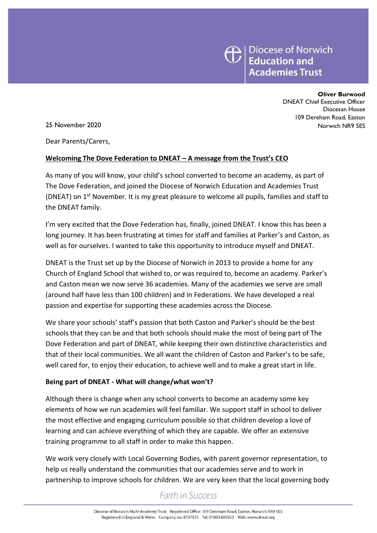

**Oliver Burwood**

DNEAT Chief Executive Officer Diocesan House 109 Dereham Road, Easton 25 November 2020 Norwich NR9 5ES

Dear Parents/Carers,

### **Welcoming The Dove Federation to DNEAT – A message from the Trust's CEO**

As many of you will know, your child's school converted to become an academy, as part of The Dove Federation, and joined the Diocese of Norwich Education and Academies Trust (DNEAT) on 1<sup>st</sup> November. It is my great pleasure to welcome all pupils, families and staff to the DNEAT family.

I'm very excited that the Dove Federation has, finally, joined DNEAT. I know this has been a long journey. It has been frustrating at times for staff and families at Parker's and Caston, as well as for ourselves. I wanted to take this opportunity to introduce myself and DNEAT.

DNEAT is the Trust set up by the Diocese of Norwich in 2013 to provide a home for any Church of England School that wished to, or was required to, become an academy. Parker's and Caston mean we now serve 36 academies. Many of the academies we serve are small (around half have less than 100 children) and in Federations. We have developed a real passion and expertise for supporting these academies across the Diocese.

We share your schools' staff's passion that both Caston and Parker's should be the best schools that they can be and that both schools should make the most of being part of The Dove Federation and part of DNEAT, while keeping their own distinctive characteristics and that of their local communities. We all want the children of Caston and Parker's to be safe, well cared for, to enjoy their education, to achieve well and to make a great start in life.

### **Being part of DNEAT - What will change/what won't?**

Although there is change when any school converts to become an academy some key elements of how we run academies will feel familiar. We support staff in school to deliver the most effective and engaging curriculum possible so that children develop a love of learning and can achieve everything of which they are capable. We offer an extensive training programme to all staff in order to make this happen.

We work very closely with Local Governing Bodies, with parent governor representation, to help us really understand the communities that our academies serve and to work in partnership to improve schools for children. We are very keen that the local governing body

## **Faith in Success**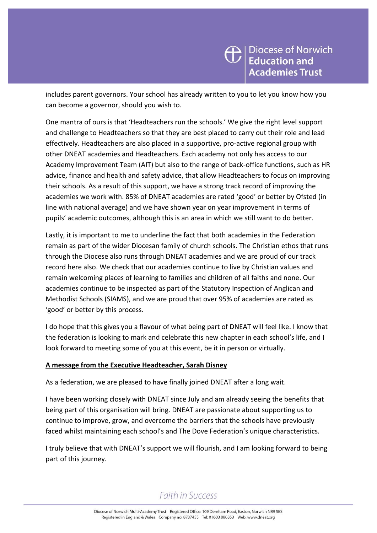includes parent governors. Your school has already written to you to let you know how you can become a governor, should you wish to.

One mantra of ours is that 'Headteachers run the schools.' We give the right level support and challenge to Headteachers so that they are best placed to carry out their role and lead effectively. Headteachers are also placed in a supportive, pro-active regional group with other DNEAT academies and Headteachers. Each academy not only has access to our Academy Improvement Team (AIT) but also to the range of back-office functions, such as HR advice, finance and health and safety advice, that allow Headteachers to focus on improving their schools. As a result of this support, we have a strong track record of improving the academies we work with. 85% of DNEAT academies are rated 'good' or better by Ofsted (in line with national average) and we have shown year on year improvement in terms of pupils' academic outcomes, although this is an area in which we still want to do better.

Lastly, it is important to me to underline the fact that both academies in the Federation remain as part of the wider Diocesan family of church schools. The Christian ethos that runs through the Diocese also runs through DNEAT academies and we are proud of our track record here also. We check that our academies continue to live by Christian values and remain welcoming places of learning to families and children of all faiths and none. Our academies continue to be inspected as part of the Statutory Inspection of Anglican and Methodist Schools (SIAMS), and we are proud that over 95% of academies are rated as 'good' or better by this process.

I do hope that this gives you a flavour of what being part of DNEAT will feel like. I know that the federation is looking to mark and celebrate this new chapter in each school's life, and I look forward to meeting some of you at this event, be it in person or virtually.

## **A message from the Executive Headteacher, Sarah Disney**

As a federation, we are pleased to have finally joined DNEAT after a long wait.

I have been working closely with DNEAT since July and am already seeing the benefits that being part of this organisation will bring. DNEAT are passionate about supporting us to continue to improve, grow, and overcome the barriers that the schools have previously faced whilst maintaining each school's and The Dove Federation's unique characteristics.

I truly believe that with DNEAT's support we will flourish, and I am looking forward to being part of this journey.

# **Faith in Success**